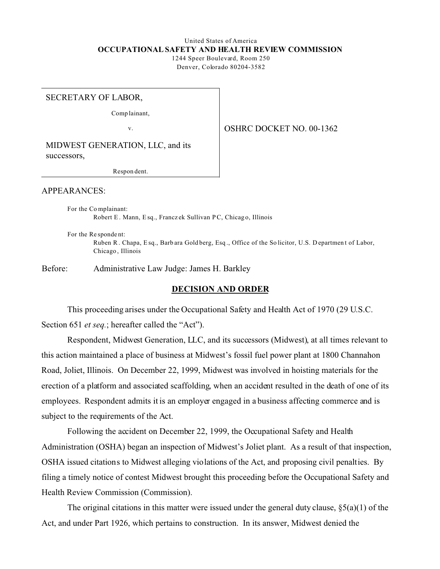# United States of America **OCCUPATIONAL SAFETY AND HEALTH REVIEW COMMISSION**

1244 Speer Boulevard, Room 250 Denver, Colorado 80204-3582

#### SECRETARY OF LABOR,

Comp lainant,

v.

OSHRC DOCKET NO. 00-1362

MIDWEST GENERATION, LLC, and its successors,

Respon dent.

## APPEARANCES:

For the Co mplainant: Robert E . Mann, E sq., Francz ek Sullivan P C, Chicag o, Illinois

For the Re sponde nt: Ruben R . Chapa, E sq., Barb ara Gold berg, Esq ., Office of the So licitor, U.S. D epartmen t of Labor, Chicago , Illinois

Before: Administrative Law Judge: James H. Barkley

#### **DECISION AND ORDER**

This proceeding arises under the Occupational Safety and Health Act of 1970 (29 U.S.C. Section 651 *et seq.*; hereafter called the "Act").

Respondent, Midwest Generation, LLC, and its successors (Midwest), at all times relevant to this action maintained a place of business at Midwest's fossil fuel power plant at 1800 Channahon Road, Joliet, Illinois. On December 22, 1999, Midwest was involved in hoisting materials for the erection of a platform and associated scaffolding, when an accident resulted in the death of one of its employees. Respondent admits it is an employer engaged in a business affecting commerce and is subject to the requirements of the Act.

Following the accident on December 22, 1999, the Occupational Safety and Health Administration (OSHA) began an inspection of Midwest's Joliet plant. As a result of that inspection, OSHA issued citations to Midwest alleging violations of the Act, and proposing civil penalties. By filing a timely notice of contest Midwest brought this proceeding before the Occupational Safety and Health Review Commission (Commission).

The original citations in this matter were issued under the general duty clause,  $\S(3a)(1)$  of the Act, and under Part 1926, which pertains to construction. In its answer, Midwest denied the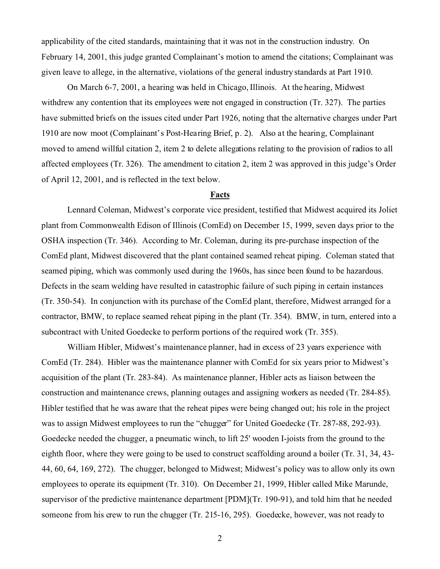applicability of the cited standards, maintaining that it was not in the construction industry. On February 14, 2001, this judge granted Complainant's motion to amend the citations; Complainant was given leave to allege, in the alternative, violations of the general industry standards at Part 1910.

On March 6-7, 2001, a hearing was held in Chicago, Illinois. At the hearing, Midwest withdrew any contention that its employees were not engaged in construction (Tr. 327). The parties have submitted briefs on the issues cited under Part 1926, noting that the alternative charges under Part 1910 are now moot (Complainant's Post-Hearing Brief, p. 2). Also at the hearing, Complainant moved to amend willful citation 2, item 2 to delete allegations relating to the provision of radios to all affected employees (Tr. 326). The amendment to citation 2, item 2 was approved in this judge's Order of April 12, 2001, and is reflected in the text below.

#### **Facts**

Lennard Coleman, Midwest's corporate vice president, testified that Midwest acquired its Joliet plant from Commonwealth Edison of Illinois (ComEd) on December 15, 1999, seven days prior to the OSHA inspection (Tr. 346). According to Mr. Coleman, during its pre-purchase inspection of the ComEd plant, Midwest discovered that the plant contained seamed reheat piping. Coleman stated that seamed piping, which was commonly used during the 1960s, has since been found to be hazardous. Defects in the seam welding have resulted in catastrophic failure of such piping in certain instances (Tr. 350-54). In conjunction with its purchase of the ComEd plant, therefore, Midwest arranged for a contractor, BMW, to replace seamed reheat piping in the plant (Tr. 354). BMW, in turn, entered into a subcontract with United Goedecke to perform portions of the required work (Tr. 355).

William Hibler, Midwest's maintenance planner, had in excess of 23 years experience with ComEd (Tr. 284). Hibler was the maintenance planner with ComEd for six years prior to Midwest's acquisition of the plant (Tr. 283-84). As maintenance planner, Hibler acts as liaison between the construction and maintenance crews, planning outages and assigning workers as needed (Tr. 284-85). Hibler testified that he was aware that the reheat pipes were being changed out; his role in the project was to assign Midwest employees to run the "chugger" for United Goedecke (Tr. 287-88, 292-93). Goedecke needed the chugger, a pneumatic winch, to lift 25' wooden I-joists from the ground to the eighth floor, where they were going to be used to construct scaffolding around a boiler (Tr. 31, 34, 43- 44, 60, 64, 169, 272). The chugger, belonged to Midwest; Midwest's policy was to allow only its own employees to operate its equipment (Tr. 310). On December 21, 1999, Hibler called Mike Marunde, supervisor of the predictive maintenance department [PDM](Tr. 190-91), and told him that he needed someone from his crew to run the chugger (Tr. 215-16, 295). Goedecke, however, was not ready to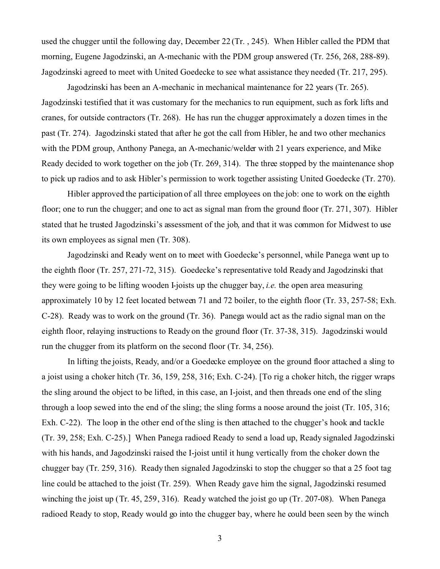used the chugger until the following day, December 22 (Tr. , 245). When Hibler called the PDM that morning, Eugene Jagodzinski, an A-mechanic with the PDM group answered (Tr. 256, 268, 288-89). Jagodzinski agreed to meet with United Goedecke to see what assistance they needed (Tr. 217, 295).

Jagodzinski has been an A-mechanic in mechanical maintenance for 22 years (Tr. 265). Jagodzinski testified that it was customary for the mechanics to run equipment, such as fork lifts and cranes, for outside contractors (Tr. 268). He has run the chugger approximately a dozen times in the past (Tr. 274). Jagodzinski stated that after he got the call from Hibler, he and two other mechanics with the PDM group, Anthony Panega, an A-mechanic/welder with 21 years experience, and Mike Ready decided to work together on the job (Tr. 269, 314). The three stopped by the maintenance shop to pick up radios and to ask Hibler's permission to work together assisting United Goedecke (Tr. 270).

Hibler approved the participation of all three employees on the job: one to work on the eighth floor; one to run the chugger; and one to act as signal man from the ground floor (Tr. 271, 307). Hibler stated that he trusted Jagodzinski's assessment of the job, and that it was common for Midwest to use its own employees as signal men (Tr. 308).

Jagodzinski and Ready went on to meet with Goedecke's personnel, while Panega went up to the eighth floor (Tr. 257, 271-72, 315). Goedecke's representative told Ready and Jagodzinski that they were going to be lifting wooden I-joists up the chugger bay, *i.e.* the open area measuring approximately 10 by 12 feet located between 71 and 72 boiler, to the eighth floor (Tr. 33, 257-58; Exh. C-28). Ready was to work on the ground (Tr. 36). Panega would act as the radio signal man on the eighth floor, relaying instructions to Ready on the ground floor (Tr. 37-38, 315). Jagodzinski would run the chugger from its platform on the second floor (Tr. 34, 256).

In lifting the joists, Ready, and/or a Goedecke employee on the ground floor attached a sling to a joist using a choker hitch (Tr. 36, 159, 258, 316; Exh. C-24). [To rig a choker hitch, the rigger wraps the sling around the object to be lifted, in this case, an I-joist, and then threads one end of the sling through a loop sewed into the end of the sling; the sling forms a noose around the joist (Tr. 105, 316; Exh. C-22). The loop in the other end of the sling is then attached to the chugger's hook and tackle (Tr. 39, 258; Exh. C-25).] When Panega radioed Ready to send a load up, Ready signaled Jagodzinski with his hands, and Jagodzinski raised the I-joist until it hung vertically from the choker down the chugger bay (Tr. 259, 316). Ready then signaled Jagodzinski to stop the chugger so that a 25 foot tag line could be attached to the joist (Tr. 259). When Ready gave him the signal, Jagodzinski resumed winching the joist up (Tr. 45, 259, 316). Ready watched the joist go up (Tr. 207-08). When Panega radioed Ready to stop, Ready would go into the chugger bay, where he could been seen by the winch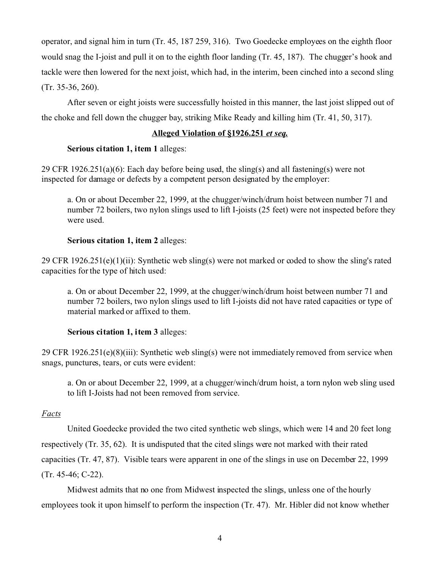operator, and signal him in turn (Tr. 45, 187 259, 316). Two Goedecke employees on the eighth floor would snag the I-joist and pull it on to the eighth floor landing (Tr. 45, 187). The chugger's hook and tackle were then lowered for the next joist, which had, in the interim, been cinched into a second sling (Tr. 35-36, 260).

After seven or eight joists were successfully hoisted in this manner, the last joist slipped out of the choke and fell down the chugger bay, striking Mike Ready and killing him (Tr. 41, 50, 317).

# **Alleged Violation of §1926.251** *et seq.*

# **Serious citation 1, item 1** alleges:

29 CFR 1926.251(a)(6): Each day before being used, the sling(s) and all fastening(s) were not inspected for damage or defects by a competent person designated by the employer:

a. On or about December 22, 1999, at the chugger/winch/drum hoist between number 71 and number 72 boilers, two nylon slings used to lift I-joists (25 feet) were not inspected before they were used.

# **Serious citation 1, item 2** alleges:

29 CFR 1926.251(e)(1)(ii): Synthetic web sling(s) were not marked or coded to show the sling's rated capacities for the type of hitch used:

a. On or about December 22, 1999, at the chugger/winch/drum hoist between number 71 and number 72 boilers, two nylon slings used to lift I-joists did not have rated capacities or type of material marked or affixed to them.

# **Serious citation 1, item 3** alleges:

29 CFR 1926.251(e)(8)(iii): Synthetic web sling(s) were not immediately removed from service when snags, punctures, tears, or cuts were evident:

a. On or about December 22, 1999, at a chugger/winch/drum hoist, a torn nylon web sling used to lift I-Joists had not been removed from service.

## *Facts*

United Goedecke provided the two cited synthetic web slings, which were 14 and 20 feet long respectively (Tr. 35, 62). It is undisputed that the cited slings were not marked with their rated capacities (Tr. 47, 87). Visible tears were apparent in one of the slings in use on December 22, 1999 (Tr. 45-46; C-22).

Midwest admits that no one from Midwest inspected the slings, unless one of the hourly employees took it upon himself to perform the inspection (Tr. 47). Mr. Hibler did not know whether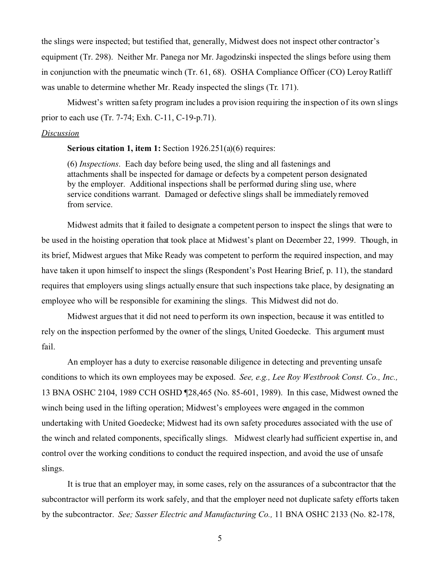the slings were inspected; but testified that, generally, Midwest does not inspect other contractor's equipment (Tr. 298). Neither Mr. Panega nor Mr. Jagodzinski inspected the slings before using them in conjunction with the pneumatic winch (Tr. 61, 68). OSHA Compliance Officer (CO) Leroy Ratliff was unable to determine whether Mr. Ready inspected the slings (Tr. 171).

Midwest's written safety program includes a provision requiring the inspection of its own slings prior to each use (Tr. 7-74; Exh. C-11, C-19-p.71).

#### *Discussion*

**Serious citation 1, item 1:** Section 1926.251(a)(6) requires:

(6) *Inspections*. Each day before being used, the sling and all fastenings and attachments shall be inspected for damage or defects by a competent person designated by the employer. Additional inspections shall be performed during sling use, where service conditions warrant. Damaged or defective slings shall be immediately removed from service.

Midwest admits that it failed to designate a competent person to inspect the slings that were to be used in the hoisting operation that took place at Midwest's plant on December 22, 1999. Though, in its brief, Midwest argues that Mike Ready was competent to perform the required inspection, and may have taken it upon himself to inspect the slings (Respondent's Post Hearing Brief, p. 11), the standard requires that employers using slings actually ensure that such inspections take place, by designating an employee who will be responsible for examining the slings. This Midwest did not do.

Midwest argues that it did not need to perform its own inspection, because it was entitled to rely on the inspection performed by the owner of the slings, United Goedecke. This argument must fail.

An employer has a duty to exercise reasonable diligence in detecting and preventing unsafe conditions to which its own employees may be exposed. *See, e.g., Lee Roy Westbrook Const. Co., Inc.,*  13 BNA OSHC 2104, 1989 CCH OSHD ¶28,465 (No. 85-601, 1989). In this case, Midwest owned the winch being used in the lifting operation; Midwest's employees were engaged in the common undertaking with United Goedecke; Midwest had its own safety procedures associated with the use of the winch and related components, specifically slings. Midwest clearly had sufficient expertise in, and control over the working conditions to conduct the required inspection, and avoid the use of unsafe slings.

It is true that an employer may, in some cases, rely on the assurances of a subcontractor that the subcontractor will perform its work safely, and that the employer need not duplicate safety efforts taken by the subcontractor. *See; Sasser Electric and Manufacturing Co.,* 11 BNA OSHC 2133 (No. 82-178,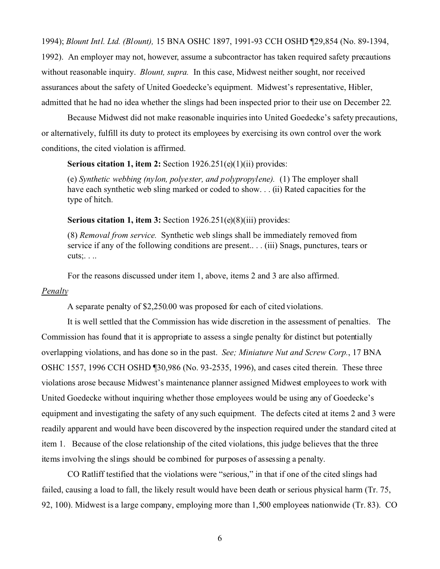1994); *Blount Intl. Ltd. (Blount),* 15 BNA OSHC 1897, 1991-93 CCH OSHD ¶29,854 (No. 89-1394,

1992). An employer may not, however, assume a subcontractor has taken required safety precautions without reasonable inquiry. *Blount, supra.* In this case, Midwest neither sought, nor received assurances about the safety of United Goedecke's equipment. Midwest's representative, Hibler, admitted that he had no idea whether the slings had been inspected prior to their use on December 22.

Because Midwest did not make reasonable inquiries into United Goedecke's safety precautions, or alternatively, fulfill its duty to protect its employees by exercising its own control over the work conditions, the cited violation is affirmed.

**Serious citation 1, item 2:** Section 1926.251(e)(1)(ii) provides:

(e) *Synthetic webbing (nylon, polyester, and polypropylene).* (1) The employer shall have each synthetic web sling marked or coded to show... (ii) Rated capacities for the type of hitch.

**Serious citation 1, item 3:** Section 1926.251(e)(8)(iii) provides:

(8) *Removal from service.* Synthetic web slings shall be immediately removed from service if any of the following conditions are present.. . . (iii) Snags, punctures, tears or cuts;. . ..

For the reasons discussed under item 1, above, items 2 and 3 are also affirmed.

### *Penalty*

A separate penalty of \$2,250.00 was proposed for each of cited violations.

It is well settled that the Commission has wide discretion in the assessment of penalties. The Commission has found that it is appropriate to assess a single penalty for distinct but potentially overlapping violations, and has done so in the past. *See; Miniature Nut and Screw Corp.*, 17 BNA OSHC 1557, 1996 CCH OSHD ¶30,986 (No. 93-2535, 1996), and cases cited therein. These three violations arose because Midwest's maintenance planner assigned Midwest employees to work with United Goedecke without inquiring whether those employees would be using any of Goedecke's equipment and investigating the safety of any such equipment. The defects cited at items 2 and 3 were readily apparent and would have been discovered by the inspection required under the standard cited at item 1. Because of the close relationship of the cited violations, this judge believes that the three items involving the slings should be combined for purposes of assessing a penalty.

CO Ratliff testified that the violations were "serious," in that if one of the cited slings had failed, causing a load to fall, the likely result would have been death or serious physical harm (Tr. 75, 92, 100). Midwest is a large company, employing more than 1,500 employees nationwide (Tr. 83). CO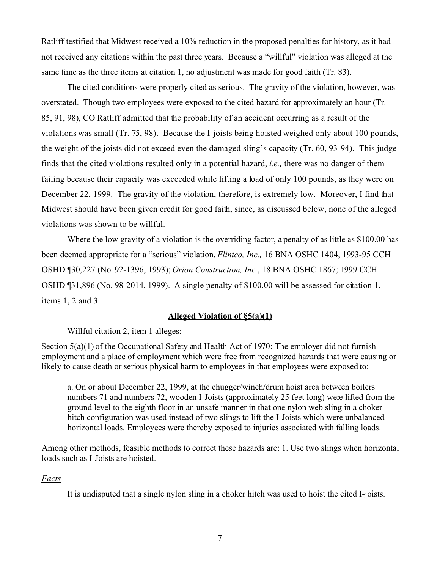Ratliff testified that Midwest received a 10% reduction in the proposed penalties for history, as it had not received any citations within the past three years. Because a "willful" violation was alleged at the same time as the three items at citation 1, no adjustment was made for good faith (Tr. 83).

The cited conditions were properly cited as serious. The gravity of the violation, however, was overstated. Though two employees were exposed to the cited hazard for approximately an hour (Tr. 85, 91, 98), CO Ratliff admitted that the probability of an accident occurring as a result of the violations was small (Tr. 75, 98). Because the I-joists being hoisted weighed only about 100 pounds, the weight of the joists did not exceed even the damaged sling's capacity (Tr. 60, 93-94). This judge finds that the cited violations resulted only in a potential hazard, *i.e.,* there was no danger of them failing because their capacity was exceeded while lifting a load of only 100 pounds, as they were on December 22, 1999. The gravity of the violation, therefore, is extremely low. Moreover, I find that Midwest should have been given credit for good faith, since, as discussed below, none of the alleged violations was shown to be willful.

Where the low gravity of a violation is the overriding factor, a penalty of as little as \$100.00 has been deemed appropriate for a "serious" violation. *Flintco, Inc.,* 16 BNA OSHC 1404, 1993-95 CCH OSHD ¶30,227 (No. 92-1396, 1993); *Orion Construction, Inc.*, 18 BNA OSHC 1867; 1999 CCH OSHD ¶31,896 (No. 98-2014, 1999). A single penalty of \$100.00 will be assessed for citation 1, items 1, 2 and 3.

### **Alleged Violation of §5(a)(1)**

## Willful citation 2, item 1 alleges:

Section 5(a)(1) of the Occupational Safety and Health Act of 1970: The employer did not furnish employment and a place of employment which were free from recognized hazards that were causing or likely to cause death or serious physical harm to employees in that employees were exposed to:

a. On or about December 22, 1999, at the chugger/winch/drum hoist area between boilers numbers 71 and numbers 72, wooden I-Joists (approximately 25 feet long) were lifted from the ground level to the eighth floor in an unsafe manner in that one nylon web sling in a choker hitch configuration was used instead of two slings to lift the I-Joists which were unbalanced horizontal loads. Employees were thereby exposed to injuries associated with falling loads.

Among other methods, feasible methods to correct these hazards are: 1. Use two slings when horizontal loads such as I-Joists are hoisted.

## *Facts*

It is undisputed that a single nylon sling in a choker hitch was used to hoist the cited I-joists.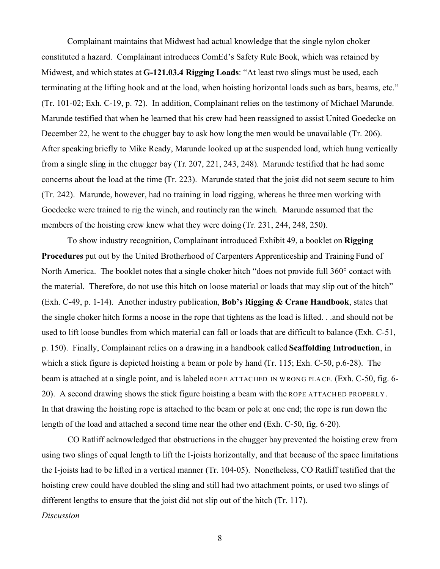Complainant maintains that Midwest had actual knowledge that the single nylon choker constituted a hazard. Complainant introduces ComEd's Safety Rule Book, which was retained by Midwest, and which states at **G-121.03.4 Rigging Loads**: "At least two slings must be used, each terminating at the lifting hook and at the load, when hoisting horizontal loads such as bars, beams, etc." (Tr. 101-02; Exh. C-19, p. 72). In addition, Complainant relies on the testimony of Michael Marunde. Marunde testified that when he learned that his crew had been reassigned to assist United Goedecke on December 22, he went to the chugger bay to ask how long the men would be unavailable (Tr. 206). After speaking briefly to Mike Ready, Marunde looked up at the suspended load, which hung vertically from a single sling in the chugger bay (Tr. 207, 221, 243, 248). Marunde testified that he had some concerns about the load at the time (Tr. 223). Marunde stated that the joist did not seem secure to him (Tr. 242). Marunde, however, had no training in load rigging, whereas he three men working with Goedecke were trained to rig the winch, and routinely ran the winch. Marunde assumed that the members of the hoisting crew knew what they were doing (Tr. 231, 244, 248, 250).

To show industry recognition, Complainant introduced Exhibit 49, a booklet on **Rigging Procedures** put out by the United Brotherhood of Carpenters Apprenticeship and Training Fund of North America. The booklet notes that a single choker hitch "does not provide full 360° contact with the material. Therefore, do not use this hitch on loose material or loads that may slip out of the hitch" (Exh. C-49, p. 1-14). Another industry publication, **Bob's Rigging & Crane Handbook**, states that the single choker hitch forms a noose in the rope that tightens as the load is lifted. . .and should not be used to lift loose bundles from which material can fall or loads that are difficult to balance (Exh. C-51, p. 150). Finally, Complainant relies on a drawing in a handbook called **Scaffolding Introduction**, in which a stick figure is depicted hoisting a beam or pole by hand (Tr. 115; Exh. C-50, p.6-28). The beam is attached at a single point, and is labeled ROPE ATTACHED IN WRONG PLACE. (Exh. C-50, fig. 6-20). A second drawing shows the stick figure hoisting a beam with the ROPE ATTACH ED PROPERLY . In that drawing the hoisting rope is attached to the beam or pole at one end; the rope is run down the length of the load and attached a second time near the other end (Exh. C-50, fig. 6-20).

CO Ratliff acknowledged that obstructions in the chugger bay prevented the hoisting crew from using two slings of equal length to lift the I-joists horizontally, and that because of the space limitations the I-joists had to be lifted in a vertical manner (Tr. 104-05). Nonetheless, CO Ratliff testified that the hoisting crew could have doubled the sling and still had two attachment points, or used two slings of different lengths to ensure that the joist did not slip out of the hitch (Tr. 117).

#### *Discussion*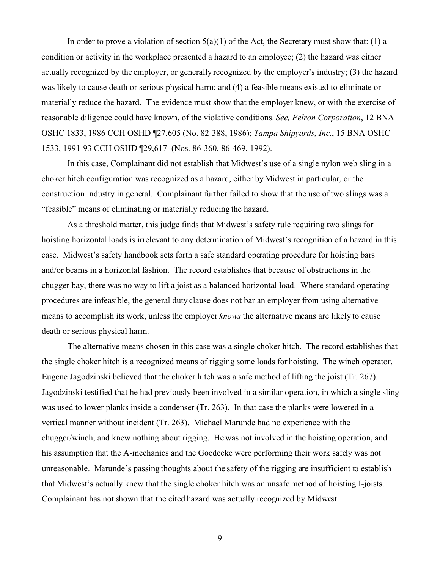In order to prove a violation of section  $5(a)(1)$  of the Act, the Secretary must show that: (1) a condition or activity in the workplace presented a hazard to an employee; (2) the hazard was either actually recognized by the employer, or generally recognized by the employer's industry; (3) the hazard was likely to cause death or serious physical harm; and (4) a feasible means existed to eliminate or materially reduce the hazard. The evidence must show that the employer knew, or with the exercise of reasonable diligence could have known, of the violative conditions. *See, Pelron Corporation*, 12 BNA OSHC 1833, 1986 CCH OSHD ¶27,605 (No. 82-388, 1986); *Tampa Shipyards, Inc.*, 15 BNA OSHC 1533, 1991-93 CCH OSHD ¶29,617 (Nos. 86-360, 86-469, 1992).

In this case, Complainant did not establish that Midwest's use of a single nylon web sling in a choker hitch configuration was recognized as a hazard, either by Midwest in particular, or the construction industry in general. Complainant further failed to show that the use of two slings was a "feasible" means of eliminating or materially reducing the hazard.

As a threshold matter, this judge finds that Midwest's safety rule requiring two slings for hoisting horizontal loads is irrelevant to any determination of Midwest's recognition of a hazard in this case. Midwest's safety handbook sets forth a safe standard operating procedure for hoisting bars and/or beams in a horizontal fashion. The record establishes that because of obstructions in the chugger bay, there was no way to lift a joist as a balanced horizontal load. Where standard operating procedures are infeasible, the general duty clause does not bar an employer from using alternative means to accomplish its work, unless the employer *knows* the alternative means are likely to cause death or serious physical harm.

The alternative means chosen in this case was a single choker hitch. The record establishes that the single choker hitch is a recognized means of rigging some loads for hoisting. The winch operator, Eugene Jagodzinski believed that the choker hitch was a safe method of lifting the joist (Tr. 267). Jagodzinski testified that he had previously been involved in a similar operation, in which a single sling was used to lower planks inside a condenser (Tr. 263). In that case the planks were lowered in a vertical manner without incident (Tr. 263). Michael Marunde had no experience with the chugger/winch, and knew nothing about rigging. He was not involved in the hoisting operation, and his assumption that the A-mechanics and the Goedecke were performing their work safely was not unreasonable. Marunde's passing thoughts about the safety of the rigging are insufficient to establish that Midwest's actually knew that the single choker hitch was an unsafe method of hoisting I-joists. Complainant has not shown that the cited hazard was actually recognized by Midwest.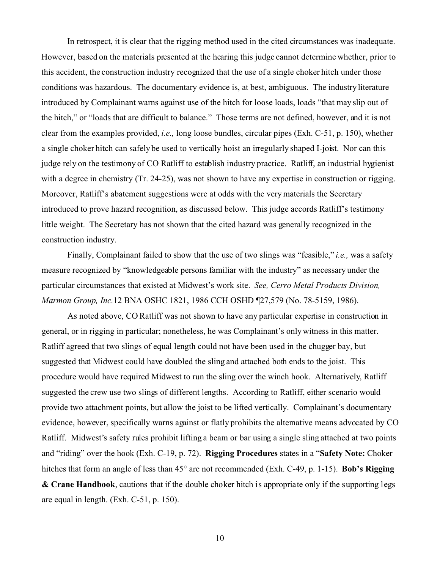In retrospect, it is clear that the rigging method used in the cited circumstances was inadequate. However, based on the materials presented at the hearing this judge cannot determine whether, prior to this accident, the construction industry recognized that the use of a single choker hitch under those conditions was hazardous. The documentary evidence is, at best, ambiguous. The industry literature introduced by Complainant warns against use of the hitch for loose loads, loads "that may slip out of the hitch," or "loads that are difficult to balance." Those terms are not defined, however, and it is not clear from the examples provided, *i.e.,* long loose bundles, circular pipes (Exh. C-51, p. 150), whether a single choker hitch can safely be used to vertically hoist an irregularly shaped I-joist. Nor can this judge rely on the testimony of CO Ratliff to establish industry practice. Ratliff, an industrial hygienist with a degree in chemistry (Tr. 24-25), was not shown to have any expertise in construction or rigging. Moreover, Ratliff's abatement suggestions were at odds with the very materials the Secretary introduced to prove hazard recognition, as discussed below. This judge accords Ratliff's testimony little weight. The Secretary has not shown that the cited hazard was generally recognized in the construction industry.

Finally, Complainant failed to show that the use of two slings was "feasible," *i.e.,* was a safety measure recognized by "knowledgeable persons familiar with the industry" as necessary under the particular circumstances that existed at Midwest's work site. *See, Cerro Metal Products Division, Marmon Group, Inc.*12 BNA OSHC 1821, 1986 CCH OSHD ¶27,579 (No. 78-5159, 1986).

As noted above, CO Ratliff was not shown to have any particular expertise in construction in general, or in rigging in particular; nonetheless, he was Complainant's only witness in this matter. Ratliff agreed that two slings of equal length could not have been used in the chugger bay, but suggested that Midwest could have doubled the sling and attached both ends to the joist. This procedure would have required Midwest to run the sling over the winch hook. Alternatively, Ratliff suggested the crew use two slings of different lengths. According to Ratliff, either scenario would provide two attachment points, but allow the joist to be lifted vertically. Complainant's documentary evidence, however, specifically warns against or flatly prohibits the alternative means advocated by CO Ratliff. Midwest's safety rules prohibit lifting a beam or bar using a single sling attached at two points and "riding" over the hook (Exh. C-19, p. 72). **Rigging Procedures** states in a "**Safety Note:** Choker hitches that form an angle of less than 45° are not recommended (Exh. C-49, p. 1-15). **Bob's Rigging & Crane Handbook**, cautions that if the double choker hitch is appropriate only if the supporting legs are equal in length. (Exh. C-51, p. 150).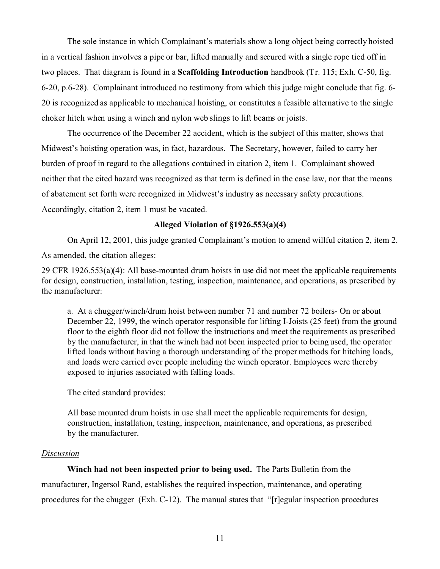The sole instance in which Complainant's materials show a long object being correctly hoisted in a vertical fashion involves a pipe or bar, lifted manually and secured with a single rope tied off in two places. That diagram is found in a **Scaffolding Introduction** handbook (Tr. 115; Exh. C-50, fig. 6-20, p.6-28). Complainant introduced no testimony from which this judge might conclude that fig. 6- 20 is recognized as applicable to mechanical hoisting, or constitutes a feasible alternative to the single choker hitch when using a winch and nylon web slings to lift beams or joists.

The occurrence of the December 22 accident, which is the subject of this matter, shows that Midwest's hoisting operation was, in fact, hazardous. The Secretary, however, failed to carry her burden of proof in regard to the allegations contained in citation 2, item 1. Complainant showed neither that the cited hazard was recognized as that term is defined in the case law, nor that the means of abatement set forth were recognized in Midwest's industry as necessary safety precautions. Accordingly, citation 2, item 1 must be vacated.

## **Alleged Violation of §1926.553(a)(4)**

On April 12, 2001, this judge granted Complainant's motion to amend willful citation 2, item 2. As amended, the citation alleges:

29 CFR 1926.553(a)(4): All base-mounted drum hoists in use did not meet the applicable requirements for design, construction, installation, testing, inspection, maintenance, and operations, as prescribed by the manufacturer:

a. At a chugger/winch/drum hoist between number 71 and number 72 boilers- On or about December 22, 1999, the winch operator responsible for lifting I-Joists (25 feet) from the ground floor to the eighth floor did not follow the instructions and meet the requirements as prescribed by the manufacturer, in that the winch had not been inspected prior to being used, the operator lifted loads without having a thorough understanding of the proper methods for hitching loads, and loads were carried over people including the winch operator. Employees were thereby exposed to injuries associated with falling loads.

The cited standard provides:

All base mounted drum hoists in use shall meet the applicable requirements for design, construction, installation, testing, inspection, maintenance, and operations, as prescribed by the manufacturer.

### *Discussion*

**Winch had not been inspected prior to being used.** The Parts Bulletin from the manufacturer, Ingersol Rand, establishes the required inspection, maintenance, and operating procedures for the chugger (Exh. C-12). The manual states that "[r]egular inspection procedures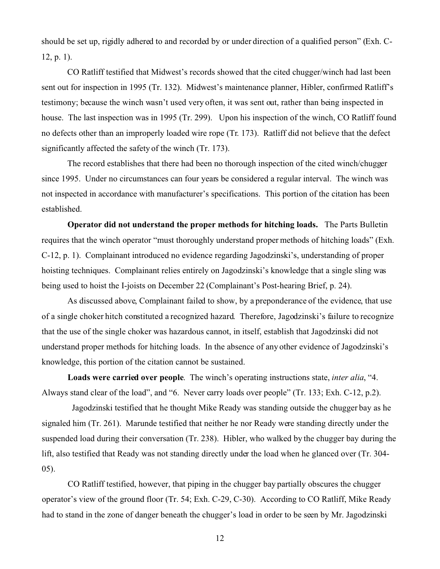should be set up, rigidly adhered to and recorded by or under direction of a qualified person" (Exh. C-12, p. 1).

CO Ratliff testified that Midwest's records showed that the cited chugger/winch had last been sent out for inspection in 1995 (Tr. 132). Midwest's maintenance planner, Hibler, confirmed Ratliff's testimony; because the winch wasn't used very often, it was sent out, rather than being inspected in house. The last inspection was in 1995 (Tr. 299). Upon his inspection of the winch, CO Ratliff found no defects other than an improperly loaded wire rope (Tr. 173). Ratliff did not believe that the defect significantly affected the safety of the winch (Tr. 173).

The record establishes that there had been no thorough inspection of the cited winch/chugger since 1995. Under no circumstances can four years be considered a regular interval. The winch was not inspected in accordance with manufacturer's specifications. This portion of the citation has been established.

**Operator did not understand the proper methods for hitching loads.** The Parts Bulletin requires that the winch operator "must thoroughly understand proper methods of hitching loads" (Exh. C-12, p. 1). Complainant introduced no evidence regarding Jagodzinski's, understanding of proper hoisting techniques. Complainant relies entirely on Jagodzinski's knowledge that a single sling was being used to hoist the I-joists on December 22 (Complainant's Post-hearing Brief, p. 24).

As discussed above, Complainant failed to show, by a preponderance of the evidence, that use of a single choker hitch constituted a recognized hazard. Therefore, Jagodzinski's failure to recognize that the use of the single choker was hazardous cannot, in itself, establish that Jagodzinski did not understand proper methods for hitching loads. In the absence of any other evidence of Jagodzinski's knowledge, this portion of the citation cannot be sustained.

**Loads were carried over people**. The winch's operating instructions state, *inter alia*, "4. Always stand clear of the load", and "6. Never carry loads over people" (Tr. 133; Exh. C-12, p.2).

Jagodzinski testified that he thought Mike Ready was standing outside the chugger bay as he signaled him (Tr. 261). Marunde testified that neither he nor Ready were standing directly under the suspended load during their conversation (Tr. 238). Hibler, who walked by the chugger bay during the lift, also testified that Ready was not standing directly under the load when he glanced over (Tr. 304- 05).

CO Ratliff testified, however, that piping in the chugger bay partially obscures the chugger operator's view of the ground floor (Tr. 54; Exh. C-29, C-30). According to CO Ratliff, Mike Ready had to stand in the zone of danger beneath the chugger's load in order to be seen by Mr. Jagodzinski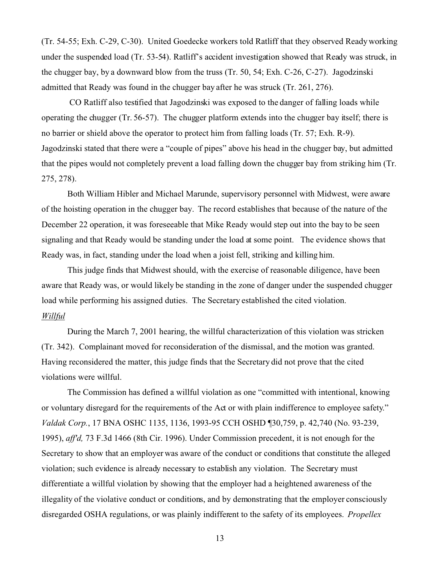(Tr. 54-55; Exh. C-29, C-30). United Goedecke workers told Ratliff that they observed Ready working under the suspended load (Tr. 53-54). Ratliff's accident investigation showed that Ready was struck, in the chugger bay, by a downward blow from the truss (Tr. 50, 54; Exh. C-26, C-27). Jagodzinski admitted that Ready was found in the chugger bay after he was struck (Tr. 261, 276).

CO Ratliff also testified that Jagodzinski was exposed to the danger of falling loads while operating the chugger (Tr. 56-57). The chugger platform extends into the chugger bay itself; there is no barrier or shield above the operator to protect him from falling loads (Tr. 57; Exh. R-9). Jagodzinski stated that there were a "couple of pipes" above his head in the chugger bay, but admitted that the pipes would not completely prevent a load falling down the chugger bay from striking him (Tr. 275, 278).

Both William Hibler and Michael Marunde, supervisory personnel with Midwest, were aware of the hoisting operation in the chugger bay. The record establishes that because of the nature of the December 22 operation, it was foreseeable that Mike Ready would step out into the bay to be seen signaling and that Ready would be standing under the load at some point. The evidence shows that Ready was, in fact, standing under the load when a joist fell, striking and killing him.

This judge finds that Midwest should, with the exercise of reasonable diligence, have been aware that Ready was, or would likely be standing in the zone of danger under the suspended chugger load while performing his assigned duties. The Secretary established the cited violation. *Willful* 

During the March 7, 2001 hearing, the willful characterization of this violation was stricken (Tr. 342). Complainant moved for reconsideration of the dismissal, and the motion was granted. Having reconsidered the matter, this judge finds that the Secretary did not prove that the cited violations were willful.

The Commission has defined a willful violation as one "committed with intentional, knowing or voluntary disregard for the requirements of the Act or with plain indifference to employee safety." *Valdak Corp.*, 17 BNA OSHC 1135, 1136, 1993-95 CCH OSHD ¶30,759, p. 42,740 (No. 93-239, 1995), *aff'd,* 73 F.3d 1466 (8th Cir. 1996). Under Commission precedent, it is not enough for the Secretary to show that an employer was aware of the conduct or conditions that constitute the alleged violation; such evidence is already necessary to establish any violation. The Secretary must differentiate a willful violation by showing that the employer had a heightened awareness of the illegality of the violative conduct or conditions, and by demonstrating that the employer consciously disregarded OSHA regulations, or was plainly indifferent to the safety of its employees. *Propellex*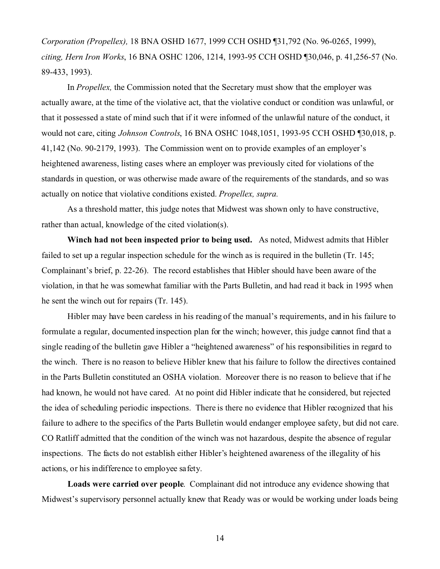*Corporation (Propellex),* 18 BNA OSHD 1677, 1999 CCH OSHD ¶31,792 (No. 96-0265, 1999), *citing, Hern Iron Works*, 16 BNA OSHC 1206, 1214, 1993-95 CCH OSHD ¶30,046, p. 41,256-57 (No. 89-433, 1993).

In *Propellex*, the Commission noted that the Secretary must show that the employer was actually aware, at the time of the violative act, that the violative conduct or condition was unlawful, or that it possessed a state of mind such that if it were informed of the unlawful nature of the conduct, it would not care, citing *Johnson Controls*, 16 BNA OSHC 1048,1051, 1993-95 CCH OSHD ¶30,018, p. 41,142 (No. 90-2179, 1993). The Commission went on to provide examples of an employer's heightened awareness, listing cases where an employer was previously cited for violations of the standards in question, or was otherwise made aware of the requirements of the standards, and so was actually on notice that violative conditions existed. *Propellex, supra.* 

As a threshold matter, this judge notes that Midwest was shown only to have constructive, rather than actual, knowledge of the cited violation(s).

**Winch had not been inspected prior to being used.** As noted, Midwest admits that Hibler failed to set up a regular inspection schedule for the winch as is required in the bulletin (Tr. 145; Complainant's brief, p. 22-26). The record establishes that Hibler should have been aware of the violation, in that he was somewhat familiar with the Parts Bulletin, and had read it back in 1995 when he sent the winch out for repairs (Tr. 145).

Hibler may have been careless in his reading of the manual's requirements, and in his failure to formulate a regular, documented inspection plan for the winch; however, this judge cannot find that a single reading of the bulletin gave Hibler a "heightened awareness" of his responsibilities in regard to the winch. There is no reason to believe Hibler knew that his failure to follow the directives contained in the Parts Bulletin constituted an OSHA violation. Moreover there is no reason to believe that if he had known, he would not have cared. At no point did Hibler indicate that he considered, but rejected the idea of scheduling periodic inspections. There is there no evidence that Hibler recognized that his failure to adhere to the specifics of the Parts Bulletin would endanger employee safety, but did not care. CO Ratliff admitted that the condition of the winch was not hazardous, despite the absence of regular inspections. The facts do not establish either Hibler's heightened awareness of the illegality of his actions, or his indifference to employee safety.

**Loads were carried over people**. Complainant did not introduce any evidence showing that Midwest's supervisory personnel actually knew that Ready was or would be working under loads being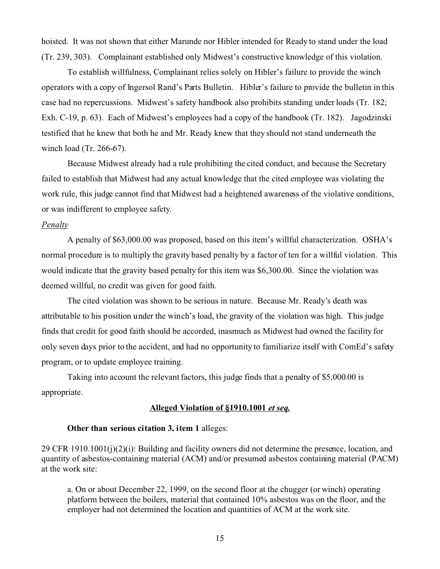hoisted. It was not shown that either Marunde nor Hibler intended for Ready to stand under the load (Tr. 239, 303). Complainant established only Midwest's constructive knowledge of this violation.

To establish willfulness, Complainant relies solely on Hibler's failure to provide the winch operators with a copy of Ingersol Rand's Parts Bulletin. Hibler's failure to provide the bulletin in this case had no repercussions. Midwest's safety handbook also prohibits standing under loads (Tr. 182; Exh. C-19, p. 63). Each of Midwest's employees had a copy of the handbook (Tr. 182). Jagodzinski testified that he knew that both he and Mr. Ready knew that they should not stand underneath the winch load (Tr. 266-67).

Because Midwest already had a rule prohibiting the cited conduct, and because the Secretary failed to establish that Midwest had any actual knowledge that the cited employee was violating the work rule, this judge cannot find that Midwest had a heightened awareness of the violative conditions, or was indifferent to employee safety.

## *Penalty*

A penalty of \$63,000.00 was proposed, based on this item's willful characterization. OSHA's normal procedure is to multiply the gravity based penalty by a factor of ten for a willful violation. This would indicate that the gravity based penalty for this item was \$6,300.00. Since the violation was deemed willful, no credit was given for good faith.

The cited violation was shown to be serious in nature. Because Mr. Ready's death was attributable to his position under the winch's load, the gravity of the violation was high. This judge finds that credit for good faith should be accorded, inasmuch as Midwest had owned the facility for only seven days prior to the accident, and had no opportunity to familiarize itself with ComEd's safety program, or to update employee training.

Taking into account the relevant factors, this judge finds that a penalty of \$5,000.00 is appropriate.

### **Alleged Violation of §1910.1001** *et seq.*

### **Other than serious citation 3, item 1** alleges:

29 CFR 1910.1001(j)(2)(i): Building and facility owners did not determine the presence, location, and quantity of asbestos-containing material (ACM) and/or presumed asbestos containing material (PACM) at the work site:

a. On or about December 22, 1999, on the second floor at the chugger (or winch) operating platform between the boilers, material that contained 10% asbestos was on the floor, and the employer had not determined the location and quantities of ACM at the work site.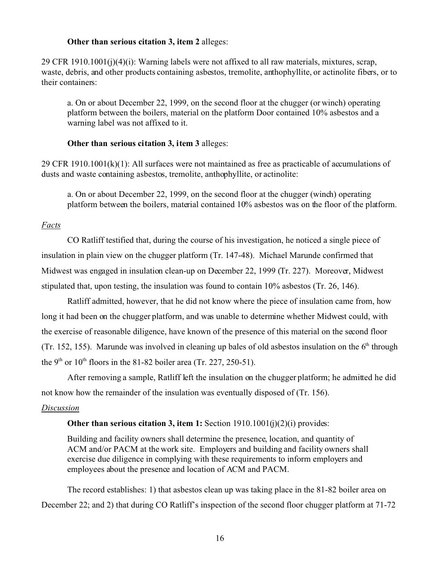## **Other than serious citation 3, item 2** alleges:

29 CFR 1910.1001(j)(4)(i): Warning labels were not affixed to all raw materials, mixtures, scrap, waste, debris, and other products containing asbestos, tremolite, anthophyllite, or actinolite fibers, or to their containers:

a. On or about December 22, 1999, on the second floor at the chugger (or winch) operating platform between the boilers, material on the platform Door contained 10% asbestos and a warning label was not affixed to it.

## **Other than serious citation 3, item 3** alleges:

29 CFR 1910.1001(k)(1): All surfaces were not maintained as free as practicable of accumulations of dusts and waste containing asbestos, tremolite, anthophyllite, or actinolite:

a. On or about December 22, 1999, on the second floor at the chugger (winch) operating platform between the boilers, material contained 10% asbestos was on the floor of the platform.

## *Facts*

CO Ratliff testified that, during the course of his investigation, he noticed a single piece of insulation in plain view on the chugger platform (Tr. 147-48). Michael Marunde confirmed that Midwest was engaged in insulation clean-up on December 22, 1999 (Tr. 227). Moreover, Midwest stipulated that, upon testing, the insulation was found to contain 10% asbestos (Tr. 26, 146).

Ratliff admitted, however, that he did not know where the piece of insulation came from, how long it had been on the chugger platform, and was unable to determine whether Midwest could, with the exercise of reasonable diligence, have known of the presence of this material on the second floor (Tr. 152, 155). Marunde was involved in cleaning up bales of old asbestos insulation on the  $6<sup>th</sup>$  through the 9<sup>th</sup> or 10<sup>th</sup> floors in the 81-82 boiler area (Tr. 227, 250-51).

After removing a sample, Ratliff left the insulation on the chugger platform; he admitted he did not know how the remainder of the insulation was eventually disposed of (Tr. 156).

## *Discussion*

## **Other than serious citation 3, item 1:** Section 1910.1001(j)(2)(i) provides:

Building and facility owners shall determine the presence, location, and quantity of ACM and/or PACM at the work site. Employers and building and facility owners shall exercise due diligence in complying with these requirements to inform employers and employees about the presence and location of ACM and PACM.

The record establishes: 1) that asbestos clean up was taking place in the 81-82 boiler area on December 22; and 2) that during CO Ratliff's inspection of the second floor chugger platform at 71-72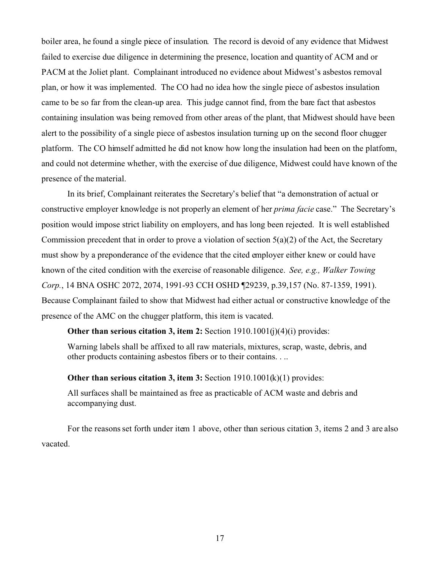boiler area, he found a single piece of insulation. The record is devoid of any evidence that Midwest failed to exercise due diligence in determining the presence, location and quantity of ACM and or PACM at the Joliet plant. Complainant introduced no evidence about Midwest's asbestos removal plan, or how it was implemented. The CO had no idea how the single piece of asbestos insulation came to be so far from the clean-up area. This judge cannot find, from the bare fact that asbestos containing insulation was being removed from other areas of the plant, that Midwest should have been alert to the possibility of a single piece of asbestos insulation turning up on the second floor chugger platform. The CO himself admitted he did not know how long the insulation had been on the platform, and could not determine whether, with the exercise of due diligence, Midwest could have known of the presence of the material.

In its brief, Complainant reiterates the Secretary's belief that "a demonstration of actual or constructive employer knowledge is not properly an element of her *prima facie* case." The Secretary's position would impose strict liability on employers, and has long been rejected. It is well established Commission precedent that in order to prove a violation of section  $5(a)(2)$  of the Act, the Secretary must show by a preponderance of the evidence that the cited employer either knew or could have known of the cited condition with the exercise of reasonable diligence. *See, e.g., Walker Towing Corp.*, 14 BNA OSHC 2072, 2074, 1991-93 CCH OSHD ¶29239, p.39,157 (No. 87-1359, 1991). Because Complainant failed to show that Midwest had either actual or constructive knowledge of the presence of the AMC on the chugger platform, this item is vacated.

### **Other than serious citation 3, item 2:** Section 1910.1001(j)(4)(i) provides:

Warning labels shall be affixed to all raw materials, mixtures, scrap, waste, debris, and other products containing asbestos fibers or to their contains. . ..

#### **Other than serious citation 3, item 3:** Section 1910.1001(k)(1) provides:

All surfaces shall be maintained as free as practicable of ACM waste and debris and accompanying dust.

For the reasons set forth under item 1 above, other than serious citation 3, items 2 and 3 are also vacated.